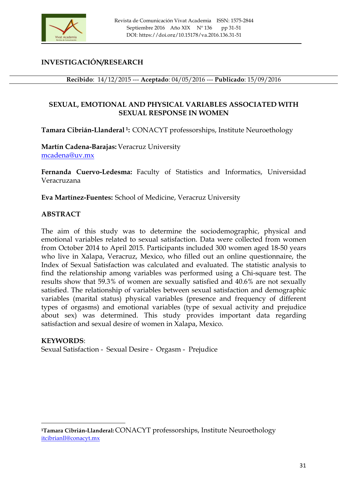

# **INVESTIGACIÓN/RESEARCH**

**Recibido**: 14/12/2015 --- **Aceptado**: 04/05/2016 --- **Publicado**: 15/09/2016

# **SEXUAL, EMOTIONAL AND PHYSICAL VARIABLES ASSOCIATED WITH SEXUAL RESPONSE IN WOMEN**

**Tamara Cibrián-Llanderal 1:** CONACYT professorships, Institute Neuroethology

**Martín Cadena-Barajas:** Veracruz University mcadena@uv.mx

**Fernanda Cuervo-Ledesma:** Faculty of Statistics and Informatics, Universidad Veracruzana

**Eva Martínez-Fuentes:** School of Medicine, Veracruz University

### **ABSTRACT**

The aim of this study was to determine the sociodemographic, physical and emotional variables related to sexual satisfaction. Data were collected from women from October 2014 to April 2015. Participants included 300 women aged 18-50 years who live in Xalapa, Veracruz, Mexico, who filled out an online questionnaire, the Index of Sexual Satisfaction was calculated and evaluated. The statistic analysis to find the relationship among variables was performed using a Chi-square test. The results show that 59.3% of women are sexually satisfied and 40.6% are not sexually satisfied. The relationship of variables between sexual satisfaction and demographic variables (marital status) physical variables (presence and frequency of different types of orgasms) and emotional variables (type of sexual activity and prejudice about sex) was determined. This study provides important data regarding satisfaction and sexual desire of women in Xalapa, Mexico.

#### **KEYWORDS**:

<u> 1989 - Johann Stein, fransk politik (d. 1989)</u>

Sexual Satisfaction - Sexual Desire - Orgasm - Prejudice

**<sup>1</sup>Tamara Cibrián-Llanderal:**CONACYT professorships, Institute Neuroethology itcibrianll@conacyt.mx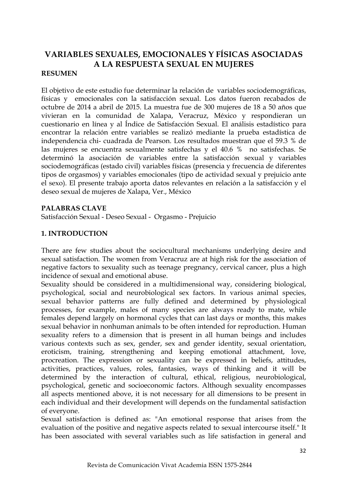# **VARIABLES SEXUALES, EMOCIONALES Y FÍSICAS ASOCIADAS A LA RESPUESTA SEXUAL EN MUJERES**

#### **RESUMEN**

El objetivo de este estudio fue determinar la relación de variables sociodemográficas, físicas y emocionales con la satisfacción sexual. Los datos fueron recabados de octubre de 2014 a abril de 2015. La muestra fue de 300 mujeres de 18 a 50 años que vivieran en la comunidad de Xalapa, Veracruz, México y respondieran un cuestionario en línea y al Índice de Satisfacción Sexual. El análisis estadístico para encontrar la relación entre variables se realizó mediante la prueba estadística de independencia chi- cuadrada de Pearson. Los resultados muestran que el 59.3 % de las mujeres se encuentra sexualmente satisfechas y el 40.6 % no satisfechas. Se determinó la asociación de variables entre la satisfacción sexual y variables sociodemográficas (estado civil) variables físicas (presencia y frecuencia de diferentes tipos de orgasmos) y variables emocionales (tipo de actividad sexual y prejuicio ante el sexo). El presente trabajo aporta datos relevantes en relación a la satisfacción y el deseo sexual de mujeres de Xalapa, Ver., México

#### **PALABRAS CLAVE**

Satisfacción Sexual - Deseo Sexual - Orgasmo - Prejuicio

#### **1. INTRODUCTION**

There are few studies about the sociocultural mechanisms underlying desire and sexual satisfaction. The women from Veracruz are at high risk for the association of negative factors to sexuality such as teenage pregnancy, cervical cancer, plus a high incidence of sexual and emotional abuse.

Sexuality should be considered in a multidimensional way, considering biological, psychological, social and neurobiological sex factors. In various animal species, sexual behavior patterns are fully defined and determined by physiological processes, for example, males of many species are always ready to mate, while females depend largely on hormonal cycles that can last days or months, this makes sexual behavior in nonhuman animals to be often intended for reproduction. Human sexuality refers to a dimension that is present in all human beings and includes various contexts such as sex, gender, sex and gender identity, sexual orientation, eroticism, training, strengthening and keeping emotional attachment, love, procreation. The expression or sexuality can be expressed in beliefs, attitudes, activities, practices, values, roles, fantasies, ways of thinking and it will be determined by the interaction of cultural, ethical, religious, neurobiological, psychological, genetic and socioeconomic factors. Although sexuality encompasses all aspects mentioned above, it is not necessary for all dimensions to be present in each individual and their development will depends on the fundamental satisfaction of everyone.

Sexual satisfaction is defined as: "An emotional response that arises from the evaluation of the positive and negative aspects related to sexual intercourse itself." It has been associated with several variables such as life satisfaction in general and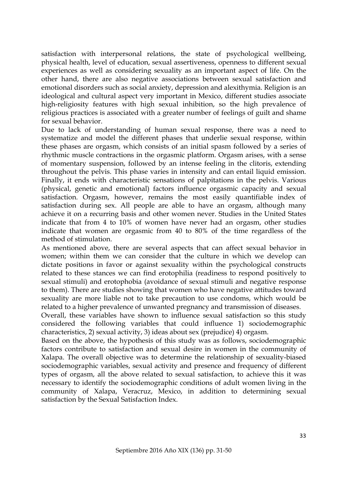satisfaction with interpersonal relations, the state of psychological wellbeing, physical health, level of education, sexual assertiveness, openness to different sexual experiences as well as considering sexuality as an important aspect of life. On the other hand, there are also negative associations between sexual satisfaction and emotional disorders such as social anxiety, depression and alexithymia. Religion is an ideological and cultural aspect very important in Mexico, different studies associate high-religiosity features with high sexual inhibition, so the high prevalence of religious practices is associated with a greater number of feelings of guilt and shame for sexual behavior.

Due to lack of understanding of human sexual response, there was a need to systematize and model the different phases that underlie sexual response, within these phases are orgasm, which consists of an initial spasm followed by a series of rhythmic muscle contractions in the orgasmic platform. Orgasm arises, with a sense of momentary suspension, followed by an intense feeling in the clitoris, extending throughout the pelvis. This phase varies in intensity and can entail liquid emission. Finally, it ends with characteristic sensations of palpitations in the pelvis. Various (physical, genetic and emotional) factors influence orgasmic capacity and sexual satisfaction. Orgasm, however, remains the most easily quantifiable index of satisfaction during sex. All people are able to have an orgasm, although many achieve it on a recurring basis and other women never. Studies in the United States indicate that from 4 to 10% of women have never had an orgasm, other studies indicate that women are orgasmic from 40 to 80% of the time regardless of the method of stimulation.

As mentioned above, there are several aspects that can affect sexual behavior in women; within them we can consider that the culture in which we develop can dictate positions in favor or against sexuality within the psychological constructs related to these stances we can find erotophilia (readiness to respond positively to sexual stimuli) and erotophobia (avoidance of sexual stimuli and negative response to them). There are studies showing that women who have negative attitudes toward sexuality are more liable not to take precaution to use condoms, which would be related to a higher prevalence of unwanted pregnancy and transmission of diseases.

Overall, these variables have shown to influence sexual satisfaction so this study considered the following variables that could influence 1) sociodemographic characteristics, 2) sexual activity, 3) ideas about sex (prejudice) 4) orgasm.

Based on the above, the hypothesis of this study was as follows, sociodemographic factors contribute to satisfaction and sexual desire in women in the community of Xalapa. The overall objective was to determine the relationship of sexuality-biased sociodemographic variables, sexual activity and presence and frequency of different types of orgasm, all the above related to sexual satisfaction, to achieve this it was necessary to identify the sociodemographic conditions of adult women living in the community of Xalapa, Veracruz, Mexico, in addition to determining sexual satisfaction by the Sexual Satisfaction Index.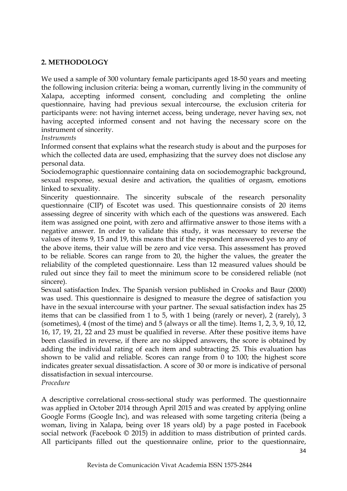### **2. METHODOLOGY**

We used a sample of 300 voluntary female participants aged 18-50 years and meeting the following inclusion criteria: being a woman, currently living in the community of Xalapa, accepting informed consent, concluding and completing the online questionnaire, having had previous sexual intercourse, the exclusion criteria for participants were: not having internet access, being underage, never having sex, not having accepted informed consent and not having the necessary score on the instrument of sincerity.

#### *Instruments*

Informed consent that explains what the research study is about and the purposes for which the collected data are used, emphasizing that the survey does not disclose any personal data.

Sociodemographic questionnaire containing data on sociodemographic background, sexual response, sexual desire and activation, the qualities of orgasm, emotions linked to sexuality.

Sincerity questionnaire. The sincerity subscale of the research personality questionnaire (CIP) of Escotet was used. This questionnaire consists of 20 items assessing degree of sincerity with which each of the questions was answered. Each item was assigned one point, with zero and affirmative answer to those items with a negative answer. In order to validate this study, it was necessary to reverse the values of items 9, 15 and 19, this means that if the respondent answered yes to any of the above items, their value will be zero and vice versa. This assessment has proved to be reliable. Scores can range from to 20, the higher the values, the greater the reliability of the completed questionnaire. Less than 12 measured values should be ruled out since they fail to meet the minimum score to be considered reliable (not sincere).

Sexual satisfaction Index. The Spanish version published in Crooks and Baur (2000) was used. This questionnaire is designed to measure the degree of satisfaction you have in the sexual intercourse with your partner. The sexual satisfaction index has 25 items that can be classified from 1 to 5, with 1 being (rarely or never), 2 (rarely), 3 (sometimes), 4 (most of the time) and 5 (always or all the time). Items 1, 2, 3, 9, 10, 12, 16, 17, 19, 21, 22 and 23 must be qualified in reverse. After these positive items have been classified in reverse, if there are no skipped answers, the score is obtained by adding the individual rating of each item and subtracting 25. This evaluation has shown to be valid and reliable. Scores can range from 0 to 100; the highest score indicates greater sexual dissatisfaction. A score of 30 or more is indicative of personal dissatisfaction in sexual intercourse.

*Procedure*

A descriptive correlational cross-sectional study was performed. The questionnaire was applied in October 2014 through April 2015 and was created by applying online Google Forms (Google Inc), and was released with some targeting criteria (being a woman, living in Xalapa, being over 18 years old) by a page posted in Facebook social network (Facebook © 2015) in addition to mass distribution of printed cards. All participants filled out the questionnaire online, prior to the questionnaire,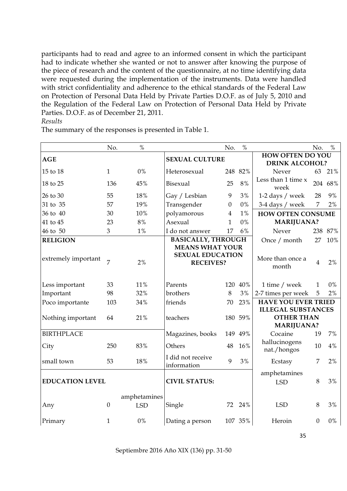participants had to read and agree to an informed consent in which the participant had to indicate whether she wanted or not to answer after knowing the purpose of the piece of research and the content of the questionnaire, at no time identifying data were requested during the implementation of the instruments. Data were handled with strict confidentiality and adherence to the ethical standards of the Federal Law on Protection of Personal Data Held by Private Parties D.O.F. as of July 5, 2010 and the Regulation of the Federal Law on Protection of Personal Data Held by Private Parties. D.O.F. as of December 21, 2011.

#### *Results*

The summary of the responses is presented in Table 1.

|                        | No.          | $\frac{0}{0}$              |                                                                       | No.              | $\%$    |                                                  | No.              | $\%$    |  |
|------------------------|--------------|----------------------------|-----------------------------------------------------------------------|------------------|---------|--------------------------------------------------|------------------|---------|--|
| <b>AGE</b>             |              |                            | <b>SEXUAL CULTURE</b>                                                 |                  |         | <b>HOW OFTEN DO YOU</b><br><b>DRINK ALCOHOL?</b> |                  |         |  |
| 15 to 18               | $\mathbf{1}$ | $0\%$                      | Heterosexual                                                          |                  | 248 82% | Never                                            | 63               | 21%     |  |
| 18 to 25               | 136          | 45%                        | Bisexual                                                              | 25               | 8%      | Less than 1 time x<br>week                       | 204              | 68%     |  |
| 26 to 30               | 55           | 18%                        | Gay / Lesbian                                                         | 9                | 3%      | 1-2 days / week                                  | 28               | 9%      |  |
| 31 to 35               | 57           | 19%                        | Transgender                                                           | $\boldsymbol{0}$ | $0\%$   | 3-4 days / week                                  | 7                | 2%      |  |
| 36 to 40               | 30           | 10%                        | polyamorous                                                           | $\overline{4}$   | 1%      | <b>HOW OFTEN CONSUME</b>                         |                  |         |  |
| 41 to 45               | 23           | $8\%$                      | Asexual                                                               | 1                | $0\%$   | <b>MARIJUANA?</b>                                |                  |         |  |
| 46 to 50               | 3            | $1\%$                      | I do not answer                                                       | 17               | 6%      | Never                                            |                  | 238 87% |  |
| <b>RELIGION</b>        |              |                            | <b>BASICALLY, THROUGH</b>                                             |                  |         | Once / month                                     | 27               | 10%     |  |
| extremely important    | 7            | 2%                         | <b>MEANS WHAT YOUR</b><br><b>SEXUAL EDUCATION</b><br><b>RECEIVES?</b> |                  |         | More than once a<br>month                        | $\overline{4}$   | 2%      |  |
| Less important         | 33           | 11%                        | Parents                                                               |                  | 120 40% | 1 time / week                                    | $\mathbf{1}$     | 0%      |  |
| Important              | 98           | 32%                        | brothers                                                              | 8                | 3%      | 2-7 times per week                               | 5                | 2%      |  |
| Poco importante        | 103          | 34%                        | friends                                                               | 70               | 23%     | <b>HAVE YOU EVER TRIED</b>                       |                  |         |  |
|                        |              |                            |                                                                       |                  |         | <b>ILLEGAL SUBSTANCES</b>                        |                  |         |  |
| Nothing important      | 64           | 21%                        | teachers                                                              |                  | 180 59% | <b>OTHER THAN</b><br><b>MARIJUANA?</b>           |                  |         |  |
| <b>BIRTHPLACE</b>      |              |                            | Magazines, books                                                      |                  | 149 49% | Cocaine                                          | 19               | 7%      |  |
| City                   | 250          | 83%                        | Others                                                                | 48               | 16%     | hallucinogens<br>nat./hongos                     | 10               | $4\%$   |  |
| small town             | 53           | 18%                        | I did not receive<br>information                                      | 9                | 3%      | Ecstasy                                          | 7                | 2%      |  |
|                        |              |                            |                                                                       |                  |         | amphetamines                                     |                  |         |  |
| <b>EDUCATION LEVEL</b> |              |                            | <b>CIVIL STATUS:</b>                                                  |                  |         | <b>LSD</b>                                       | 8                | 3%      |  |
| Any                    | $\mathbf{0}$ | amphetamines<br><b>LSD</b> | Single                                                                | 72               | 24%     | <b>LSD</b>                                       | 8                | 3%      |  |
| Primary                | $\mathbf{1}$ | $0\%$                      | Dating a person                                                       |                  | 107 35% | Heroin                                           | $\boldsymbol{0}$ | $0\%$   |  |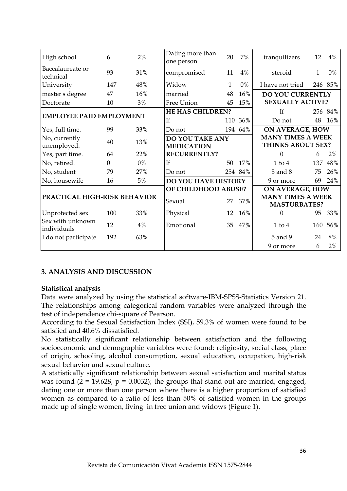| High school                     | 6              | 2%    | Dating more than<br>one person | 20  | 7%                       | tranquilizers            | 12  | 4%      |
|---------------------------------|----------------|-------|--------------------------------|-----|--------------------------|--------------------------|-----|---------|
| Baccalaureate or<br>technical   | 93             | 31%   | compromised                    | 11  | 4%                       | steroid                  | 1   | 0%      |
| University                      | 147            | 48%   | Widow                          | 1   | 0%                       | I have not tried         |     | 246 85% |
| master's degree                 | 47             | 16%   | married                        | 48  | 16%                      | <b>DO YOU CURRENTLY</b>  |     |         |
| Doctorate                       | 10             | 3%    | Free Union                     | 45  | 15%                      | <b>SEXUALLY ACTIVE?</b>  |     |         |
| <b>EMPLOYEE PAID EMPLOYMENT</b> |                |       | HE HAS CHILDREN?               |     |                          | If                       |     | 256 84% |
|                                 |                |       | If                             | 110 | 36%                      | Do not                   | 48  | 16%     |
| Yes, full time.                 | 99             | 33%   | Do not                         |     | 194 64%                  | <b>ON AVERAGE, HOW</b>   |     |         |
| No, currently                   | 40<br>13%      |       | DO YOU TAKE ANY                |     |                          | <b>MANY TIMES A WEEK</b> |     |         |
| unemployed.                     |                |       | <b>MEDICATION</b>              |     |                          | THINKS ABOUT SEX?        |     |         |
| Yes, part time.                 | 64             | 22%   | <b>RECURRENTLY?</b>            |     |                          | $\Omega$                 | 6   | 2%      |
| No, retired.                    | $\overline{0}$ | $0\%$ | If                             | 50  | 17%                      | $1$ to $4$               | 137 | 48%     |
| No, student                     | 79             | 27%   | Do not                         |     | 254 84%                  | 5 and 8                  | 75  | 26%     |
| No, housewife                   | 16             | $5\%$ | <b>DO YOU HAVE HISTORY</b>     |     |                          | 9 or more                | 69  | 24%     |
| PRACTICAL HIGH-RISK BEHAVIOR    |                |       | OF CHILDHOOD ABUSE?            |     |                          | <b>ON AVERAGE, HOW</b>   |     |         |
|                                 |                |       | Sexual<br>27                   |     | <b>MANY TIMES A WEEK</b> |                          |     |         |
|                                 |                |       |                                |     | 37%                      | <b>MASTURBATES?</b>      |     |         |
| Unprotected sex                 | 100            | 33%   | Physical                       | 12  | 16%                      | $\Omega$                 | 95  | 33%     |
| Sex with unknown<br>individuals | 12             | 4%    | Emotional                      | 35  | 47%                      | $1$ to $4$               | 160 | 56%     |
| I do not participate            | 192            | 63%   |                                |     |                          | 5 and 9                  | 24  | $8\%$   |
|                                 |                |       |                                |     |                          | 9 or more                | 6   | 2%      |

# **3. ANALYSIS AND DISCUSSION**

# **Statistical analysis**

Data were analyzed by using the statistical software-IBM-SPSS-Statistics Version 21. The relationships among categorical random variables were analyzed through the test of independence chi-square of Pearson.

According to the Sexual Satisfaction Index (SSI), 59.3% of women were found to be satisfied and 40.6% dissatisfied.

No statistically significant relationship between satisfaction and the following socioeconomic and demographic variables were found: religiosity, social class, place of origin, schooling, alcohol consumption, sexual education, occupation, high-risk sexual behavior and sexual culture.

A statistically significant relationship between sexual satisfaction and marital status was found  $(2 = 19.628, p = 0.0032)$ ; the groups that stand out are married, engaged, dating one or more than one person where there is a higher proportion of satisfied women as compared to a ratio of less than 50% of satisfied women in the groups made up of single women, living in free union and widows (Figure 1).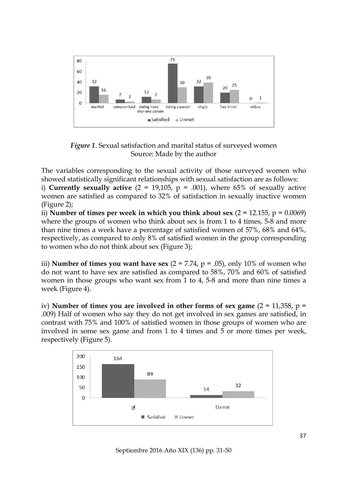

*Figure 1*. Sexual satisfaction and marital status of surveyed women Source: Made by the author

The variables corresponding to the sexual activity of those surveyed women who showed statistically significant relationships with sexual satisfaction are as follows:

i) **Currently sexually active**  $(2 = 19,105, p = .001)$ , where 65% of sexually active women are satisfied as compared to 32% of satisfaction in sexually inactive women (Figure 2);

ii) **Number of times per week in which you think about sex** (2 = 12.155, p = 0.0069) where the groups of women who think about sex is from 1 to 4 times, 5-8 and more than nine times a week have a percentage of satisfied women of 57%, 68% and 64%, respectively, as compared to only 8% of satisfied women in the group corresponding to women who do not think about sex (Figure 3);

iii) **Number of times you want have sex**  $(2 = 7.74, p = .05)$ , only 10% of women who do not want to have sex are satisfied as compared to 58%, 70% and 60% of satisfied women in those groups who want sex from 1 to 4, 5-8 and more than nine times a week (Figure 4).

iv) **Number of times you are involved in other forms of sex game** (2 = 11,358, p = .009) Half of women who say they do not get involved in sex games are satisfied, in contrast with 75% and 100% of satisfied women in those groups of women who are involved in some sex game and from 1 to 4 times and 5 or more times per week, respectively (Figure 5).



Septiembre 2016 Año XIX (136) pp. 31-50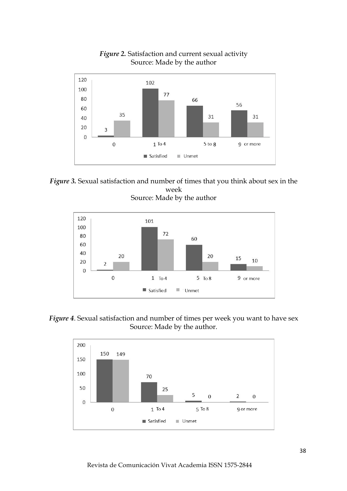

*Figure 2.* Satisfaction and current sexual activity Source: Made by the author





*Figure 4*. Sexual satisfaction and number of times per week you want to have sex Source: Made by the author.

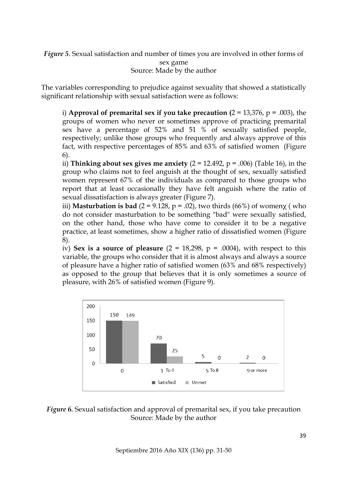*Figure 5*. Sexual satisfaction and number of times you are involved in other forms of sex game Source: Made by the author

The variables corresponding to prejudice against sexuality that showed a statistically significant relationship with sexual satisfaction were as follows:

i) **Approval of premarital sex if you take precaution**  $(2 = 13,376, p = .003)$ **, the** groups of women who never or sometimes approve of practicing premarital sex have a percentage of 52% and 51 % of sexually satisfied people, respectively; unlike those groups who frequently and always approve of this fact, with respective percentages of 85% and 63% of satisfied women (Figure 6).

ii) **Thinking about sex gives me anxiety** (2 = 12.492, p = .006) (Table 16), in the group who claims not to feel anguish at the thought of sex, sexually satisfied women represent 67% of the individuals as compared to those groups who report that at least occasionally they have felt anguish where the ratio of sexual dissatisfaction is always greater (Figure 7).

iii) **Masturbation is bad**  $(2 = 9.128, p = .02)$ , two thirds  $(66\%)$  of women $\chi$  (who do not consider masturbation to be something "bad" were sexually satisfied, on the other hand, those who have come to consider it to be a negative practice, at least sometimes, show a higher ratio of dissatisfied women (Figure 8).

iv) **Sex is a source of pleasure**  $(2 = 18,298, p = .0004)$ , with respect to this variable, the groups who consider that it is almost always and always a source of pleasure have a higher ratio of satisfied women (63% and 68% respectively) as opposed to the group that believes that it is only sometimes a source of pleasure, with 26% of satisfied women (Figure 9).



### *Figure 6.* Sexual satisfaction and approval of premarital sex, if you take precaution Source: Made by the author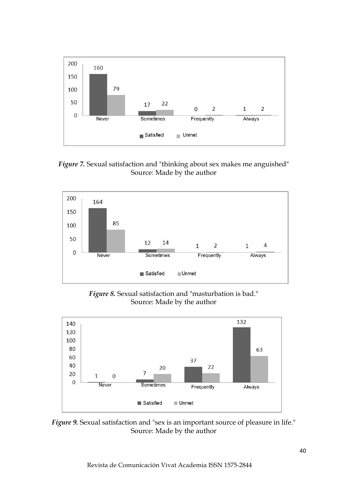

*Figure 7.* Sexual satisfaction and "thinking about sex makes me anguished" Source: Made by the author



*Figure 8.* Sexual satisfaction and "masturbation is bad." Source: Made by the author



*Figure 9.* Sexual satisfaction and "sex is an important source of pleasure in life." Source: Made by the author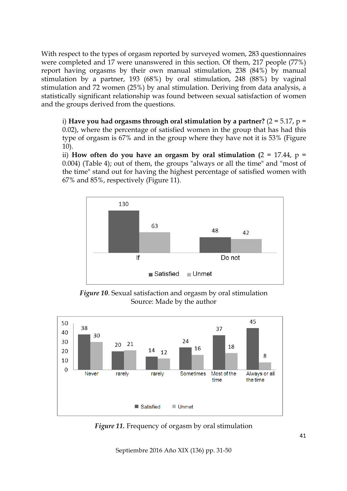With respect to the types of orgasm reported by surveyed women, 283 questionnaires were completed and 17 were unanswered in this section. Of them, 217 people (77%) report having orgasms by their own manual stimulation, 238 (84%) by manual stimulation by a partner, 193 (68%) by oral stimulation, 248 (88%) by vaginal stimulation and 72 women (25%) by anal stimulation. Deriving from data analysis, a statistically significant relationship was found between sexual satisfaction of women and the groups derived from the questions.

i) **Have you had orgasms through oral stimulation by a partner?** (2 = 5.17, p = 0.02), where the percentage of satisfied women in the group that has had this type of orgasm is 67% and in the group where they have not it is 53% (Figure 10).

ii) **How often do you have an orgasm by oral stimulation (2 = 17.44,**  $p =$ 0.004) (Table 4); out of them, the groups "always or all the time" and "most of the time" stand out for having the highest percentage of satisfied women with 67% and 85%, respectively (Figure 11).



*Figure 10*. Sexual satisfaction and orgasm by oral stimulation Source: Made by the author



*Figure 11.* Frequency of orgasm by oral stimulation

Septiembre 2016 Año XIX (136) pp. 31-50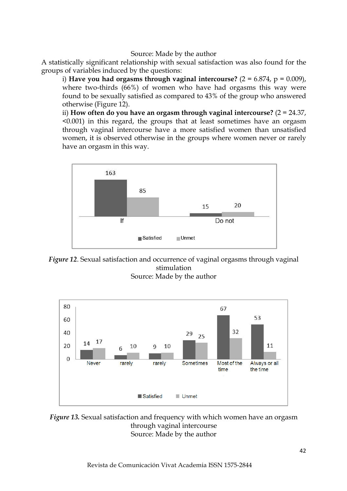#### Source: Made by the author

A statistically significant relationship with sexual satisfaction was also found for the groups of variables induced by the questions:

i) **Have you had orgasms through vaginal intercourse?**  $(2 = 6.874, p = 0.009)$ , where two-thirds (66%) of women who have had orgasms this way were found to be sexually satisfied as compared to 43% of the group who answered otherwise (Figure 12).

ii) **How often do you have an orgasm through vaginal intercourse?** (2 = 24.37, <0.001) in this regard, the groups that at least sometimes have an orgasm through vaginal intercourse have a more satisfied women than unsatisfied women, it is observed otherwise in the groups where women never or rarely have an orgasm in this way.



*Figure 12*. Sexual satisfaction and occurrence of vaginal orgasms through vaginal stimulation Source: Made by the author



*Figure 13.* Sexual satisfaction and frequency with which women have an orgasm through vaginal intercourse Source: Made by the author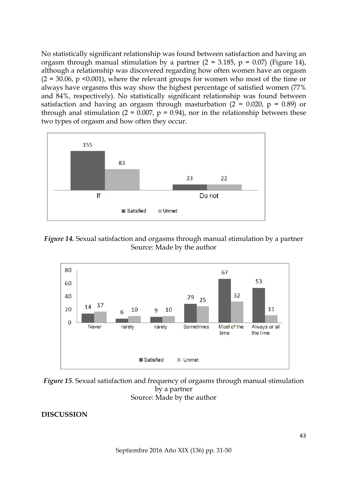No statistically significant relationship was found between satisfaction and having an orgasm through manual stimulation by a partner  $(2 = 3.185, p = 0.07)$  (Figure 14), although a relationship was discovered regarding how often women have an orgasm  $(2 = 30.06, p \le 0.001)$ , where the relevant groups for women who most of the time or always have orgasms this way show the highest percentage of satisfied women (77% and 84%, respectively). No statistically significant relationship was found between satisfaction and having an orgasm through masturbation ( $2 = 0.020$ ,  $p = 0.89$ ) or through anal stimulation ( $2 = 0.007$ ,  $p = 0.94$ ), nor in the relationship between these two types of orgasm and how often they occur.



*Figure 14.* Sexual satisfaction and orgasms through manual stimulation by a partner Source: Made by the author



*Figure 15*. Sexual satisfaction and frequency of orgasms through manual stimulation by a partner Source: Made by the author

**DISCUSSION**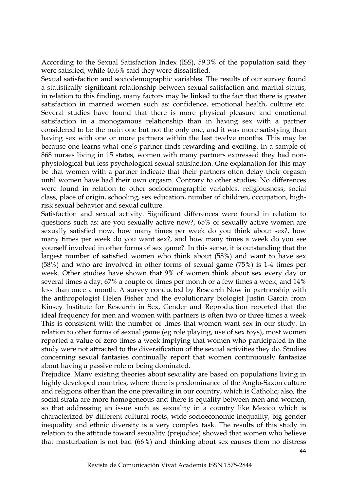According to the Sexual Satisfaction Index (ISS), 59.3% of the population said they were satisfied, while 40.6% said they were dissatisfied.

Sexual satisfaction and sociodemographic variables. The results of our survey found a statistically significant relationship between sexual satisfaction and marital status, in relation to this finding, many factors may be linked to the fact that there is greater satisfaction in married women such as: confidence, emotional health, culture etc. Several studies have found that there is more physical pleasure and emotional satisfaction in a monogamous relationship than in having sex with a partner considered to be the main one but not the only one, and it was more satisfying than having sex with one or more partners within the last twelve months. This may be because one learns what one's partner finds rewarding and exciting. In a sample of 868 nurses living in 15 states, women with many partners expressed they had nonphysiological but less psychological sexual satisfaction. One explanation for this may be that women with a partner indicate that their partners often delay their orgasm until women have had their own orgasm. Contrary to other studies. No differences were found in relation to other sociodemographic variables, religiousness, social class, place of origin, schooling, sex education, number of children, occupation, highrisk sexual behavior and sexual culture.

Satisfaction and sexual activity. Significant differences were found in relation to questions such as: are you sexually active now?, 65% of sexually active women are sexually satisfied now, how many times per week do you think about sex?, how many times per week do you want sex?, and how many times a week do you see yourself involved in other forms of sex game?. In this sense, it is outstanding that the largest number of satisfied women who think about (58%) and want to have sex (58%) and who are involved in other forms of sexual game (75%) is 1-4 times per week. Other studies have shown that 9% of women think about sex every day or several times a day, 67% a couple of times per month or a few times a week, and 14% less than once a month. A survey conducted by Research Now in partnership with the anthropologist Helen Fisher and the evolutionary biologist Justin Garcia from Kinsey Institute for Research in Sex, Gender and Reproduction reported that the ideal frequency for men and women with partners is often two or three times a week This is consistent with the number of times that women want sex in our study. In relation to other forms of sexual game (eg role playing, use of sex toys), most women reported a value of zero times a week implying that women who participated in the study were not attracted to the diversification of the sexual activities they do. Studies concerning sexual fantasies continually report that women continuously fantasize about having a passive role or being dominated.

Prejudice. Many existing theories about sexuality are based on populations living in highly developed countries, where there is predominance of the Anglo-Saxon culture and religions other than the one prevailing in our country, which is Catholic; also, the social strata are more homogeneous and there is equality between men and women, so that addressing an issue such as sexuality in a country like Mexico which is characterized by different cultural roots, wide socioeconomic inequality, big gender inequality and ethnic diversity is a very complex task. The results of this study in relation to the attitude toward sexuality (prejudice) showed that women who believe that masturbation is not bad (66%) and thinking about sex causes them no distress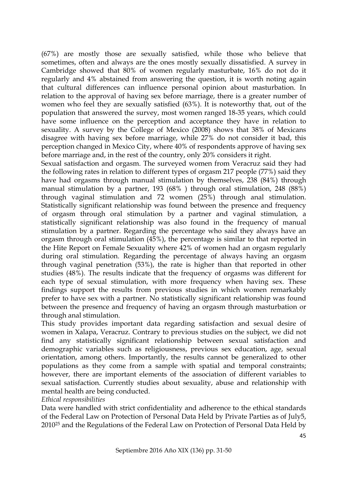(67%) are mostly those are sexually satisfied, while those who believe that sometimes, often and always are the ones mostly sexually dissatisfied. A survey in Cambridge showed that 80% of women regularly masturbate, 16% do not do it regularly and 4% abstained from answering the question, it is worth noting again that cultural differences can influence personal opinion about masturbation. In relation to the approval of having sex before marriage, there is a greater number of women who feel they are sexually satisfied (63%). It is noteworthy that, out of the population that answered the survey, most women ranged 18-35 years, which could have some influence on the perception and acceptance they have in relation to sexuality. A survey by the College of Mexico (2008) shows that 38% of Mexicans disagree with having sex before marriage, while 27% do not consider it bad, this perception changed in Mexico City, where 40% of respondents approve of having sex before marriage and, in the rest of the country, only 20% considers it right.

Sexual satisfaction and orgasm. The surveyed women from Veracruz said they had the following rates in relation to different types of orgasm 217 people (77%) said they have had orgasms through manual stimulation by themselves, 238 (84%) through manual stimulation by a partner, 193 (68% ) through oral stimulation, 248 (88%) through vaginal stimulation and 72 women (25%) through anal stimulation. Statistically significant relationship was found between the presence and frequency of orgasm through oral stimulation by a partner and vaginal stimulation, a statistically significant relationship was also found in the frequency of manual stimulation by a partner. Regarding the percentage who said they always have an orgasm through oral stimulation (45%), the percentage is similar to that reported in the Hite Report on Female Sexuality where 42% of women had an orgasm regularly during oral stimulation. Regarding the percentage of always having an orgasm through vaginal penetration (53%), the rate is higher than that reported in other studies (48%). The results indicate that the frequency of orgasms was different for each type of sexual stimulation, with more frequency when having sex. These findings support the results from previous studies in which women remarkably prefer to have sex with a partner. No statistically significant relationship was found between the presence and frequency of having an orgasm through masturbation or through anal stimulation.

This study provides important data regarding satisfaction and sexual desire of women in Xalapa, Veracruz. Contrary to previous studies on the subject, we did not find any statistically significant relationship between sexual satisfaction and demographic variables such as religiousness, previous sex education, age, sexual orientation, among others. Importantly, the results cannot be generalized to other populations as they come from a sample with spatial and temporal constraints; however, there are important elements of the association of different variables to sexual satisfaction. Currently studies about sexuality, abuse and relationship with mental health are being conducted.

#### *Ethical responsibilities*

Data were handled with strict confidentiality and adherence to the ethical standards of the Federal Law on Protection of Personal Data Held by Private Parties as of July5, 201025 and the Regulations of the Federal Law on Protection of Personal Data Held by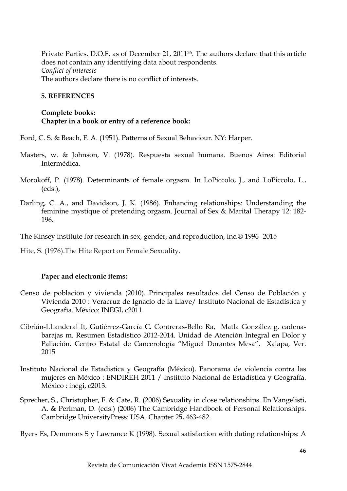Private Parties. D.O.F. as of December 21, 201126. The authors declare that this article does not contain any identifying data about respondents. *Conflict of interests* The authors declare there is no conflict of interests.

### **5. REFERENCES**

### **Complete books: Chapter in a book or entry of a reference book:**

Ford, C. S. & Beach, F. A. (1951). Patterns of Sexual Behaviour. NY: Harper.

- Masters, w. & Johnson, V. (1978). Respuesta sexual humana. Buenos Aires: Editorial Intermédica.
- Morokoff, P. (1978). Determinants of female orgasm. In LoPiccolo, J., and LoPiccolo, L., (eds.),
- Darling, C. A., and Davidson, J. K. (1986). Enhancing relationships: Understanding the feminine mystique of pretending orgasm. Journal of Sex & Marital Therapy 12: 182- 196.

The Kinsey institute for research in sex, gender, and reproduction, inc.® 1996- 2015

Hite, S. (1976).The Hite Report on Female Sexuality.

# **Paper and electronic items:**

- Censo de población y vivienda (2010). Principales resultados del Censo de Población y Vivienda 2010 : Veracruz de Ignacio de la Llave/ Instituto Nacional de Estadística y Geografía. México: INEGI, c2011.
- Cibrián-LLanderal It, Gutiérrez-García C. Contreras-Bello Ra, Matla González g, cadenabarajas m. Resumen Estadístico 2012-2014. Unidad de Atención Integral en Dolor y Paliación. Centro Estatal de Cancerología "Miguel Dorantes Mesa". Xalapa, Ver. 2015
- Instituto Nacional de Estadística y Geografía (México). Panorama de violencia contra las mujeres en México : ENDIREH 2011 / Instituto Nacional de Estadística y Geografía. México : inegi, c2013.
- Sprecher, S., Christopher, F. & Cate, R. (2006) Sexuality in close relationships. En Vangelisti, A. & Perlman, D. (eds.) (2006) The Cambridge Handbook of Personal Relationships. Cambridge UniversityPress: USA. Chapter 25, 463-482.

Byers Es, Demmons S y Lawrance K (1998). Sexual satisfaction with dating relationships: A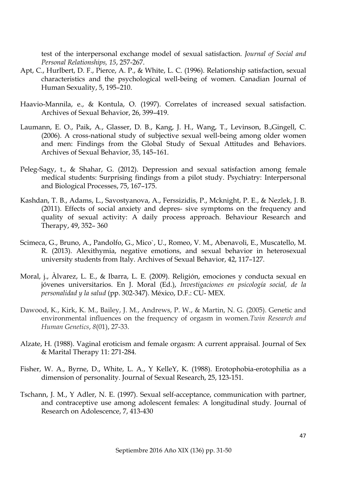test of the interpersonal exchange model of sexual satisfaction. *Journal of Social and Personal Relationships, 15*, 257-267.

- Apt, C., Hurlbert, D. F., Pierce, A. P., & White, L. C. (1996). Relationship satisfaction, sexual characteristics and the psychological well-being of women. Canadian Journal of Human Sexuality, 5, 195–210.
- Haavio-Mannila, e., & Kontula, O. (1997). Correlates of increased sexual satisfaction. Archives of Sexual Behavior, 26, 399–419.
- Laumann, E. O., Paik, A., Glasser, D. B., Kang, J. H., Wang, T., Levinson, B.,Gingell, C. (2006). A cross-national study of subjective sexual well-being among older women and men: Findings from the Global Study of Sexual Attitudes and Behaviors. Archives of Sexual Behavior, 35, 145–161.
- Peleg-Sagy, t., & Shahar, G. (2012). Depression and sexual satisfaction among female medical students: Surprising findings from a pilot study. Psychiatry: Interpersonal and Biological Processes, 75, 167–175.
- Kashdan, T. B., Adams, L., Savostyanova, A., Ferssizidis, P., Mcknight, P. E., & Nezlek, J. B. (2011). Effects of social anxiety and depres- sive symptoms on the frequency and quality of sexual activity: A daily process approach. Behaviour Research and Therapy, 49, 352– 360
- Scimeca, G., Bruno, A., Pandolfo, G., Mico`, U., Romeo, V. M., Abenavoli, E., Muscatello, M. R. (2013). Alexithymia, negative emotions, and sexual behavior in heterosexual university students from Italy. Archives of Sexual Behavior, 42, 117–127.
- Moral, j., Àlvarez, L. E., & Ibarra, L. E. (2009). Religión, emociones y conducta sexual en jóvenes universitarios. En J. Moral (Ed.), *Investigaciones en psicología social, de la personalidad y la salud* (pp. 302-347). México, D.F.: CU- MEX.
- Dawood, K., Kirk, K. M., Bailey, J. M., Andrews, P. W., & Martin, N. G. (2005). Genetic and environmental influences on the frequency of orgasm in women.*Twin Research and Human Genetics*, *8*(01), 27-33.
- Alzate, H. (1988). Vaginal eroticism and female orgasm: A current appraisal. Journal of Sex & Marital Therapy 11: 271-284.
- Fisher, W. A., Byrne, D., White, L. A., Y KelleY, K. (1988). Erotophobia-erotophilia as a dimension of personality. Journal of Sexual Research, 25, 123-151.
- Tschann, J. M., Y Adler, N. E. (1997). Sexual self-acceptance, communication with partner, and contraceptive use among adolescent females: A longitudinal study. Journal of Research on Adolescence, 7, 413-430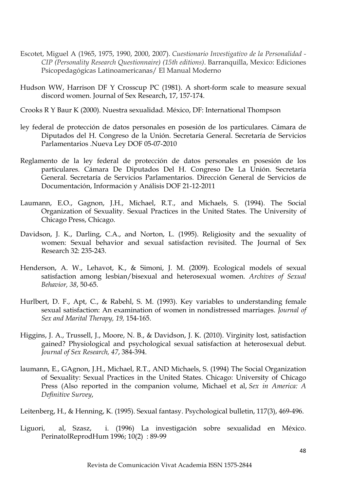- Escotet, Miguel A (1965, 1975, 1990, 2000, 2007). *Cuestionario Investigativo de la Personalidad - CIP (Personality Research Questionnaire) (15th editions)*. Barranquilla, Mexico: Ediciones Psicopedagógicas Latinoamericanas/ El Manual Moderno
- Hudson WW, Harrison DF Y Crosscup PC (1981). A short-form scale to measure sexual discord women. Journal of Sex Research, 17, 157-174.
- Crooks R Y Baur K (2000). Nuestra sexualidad. México, DF: International Thompson
- ley federal de protección de datos personales en posesión de los particulares. Cámara de Diputados del H. Congreso de la Unión. Secretaría General. Secretaría de Servicios Parlamentarios .Nueva Ley DOF 05-07-2010
- Reglamento de la ley federal de protección de datos personales en posesión de los particulares. Cámara De Diputados Del H. Congreso De La Unión. Secretaría General. Secretaría de Servicios Parlamentarios. Dirección General de Servicios de Documentación, Información y Análisis DOF 21-12-2011
- Laumann, E.O., Gagnon, J.H., Michael, R.T., and Michaels, S. (1994). The Social Organization of Sexuality. Sexual Practices in the United States. The University of Chicago Press, Chicago.
- Davidson, J. K., Darling, C.A., and Norton, L. (1995). Religiosity and the sexuality of women: Sexual behavior and sexual satisfaction revisited. The Journal of Sex Research 32: 235-243.
- Henderson, A. W., Lehavot, K., & Simoni, J. M. (2009). Ecological models of sexual satisfaction among lesbian/bisexual and heterosexual women. *Archives of Sexual Behavior, 38*, 50-65.
- Hurlbert, D. F., Apt, C., & Rabehl, S. M. (1993). Key variables to understanding female sexual satisfaction: An examination of women in nondistressed marriages. *Journal of Sex and Marital Therapy, 19,* 154-165.
- Higgins, J. A., Trussell, J., Moore, N. B., & Davidson, J. K. (2010). Virginity lost, satisfaction gained? Physiological and psychological sexual satisfaction at heterosexual debut*. Journal of Sex Research, 47*, 384-394.
- laumann, E., GAgnon, J.H., Michael, R.T., AND Michaels, S. (1994) The Social Organization of Sexuality: Sexual Practices in the United States. Chicago: University of Chicago Press (Also reported in the companion volume, Michael et al, *Sex in America: A Definitive Survey*,

Leitenberg, H., & Henning, K. (1995). Sexual fantasy. Psychological bulletin, 117(3), 469-496.

Liguori, al, Szasz, i. (1996) La investigación sobre sexualidad en México. PerinatolReprodHum 1996; 10(2) : 89-99